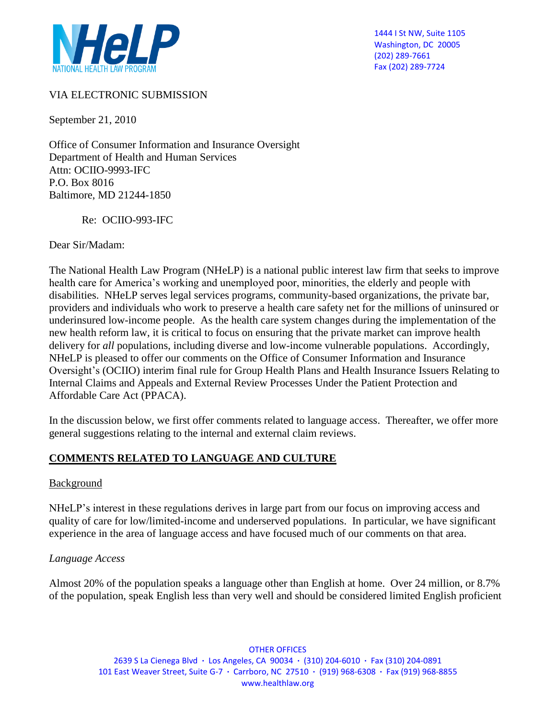

1444 I St NW, Suite 1105 Washington, DC 20005 (202) 289-7661 Fax (202) 289-7724

#### VIA ELECTRONIC SUBMISSION

September 21, 2010

Office of Consumer Information and Insurance Oversight Department of Health and Human Services Attn: OCIIO-9993-IFC P.O. Box 8016 Baltimore, MD 21244-1850

Re: OCIIO-993-IFC

Dear Sir/Madam:

The National Health Law Program (NHeLP) is a national public interest law firm that seeks to improve health care for America's working and unemployed poor, minorities, the elderly and people with disabilities. NHeLP serves legal services programs, community-based organizations, the private bar, providers and individuals who work to preserve a health care safety net for the millions of uninsured or underinsured low-income people. As the health care system changes during the implementation of the new health reform law, it is critical to focus on ensuring that the private market can improve health delivery for *all* populations, including diverse and low-income vulnerable populations. Accordingly, NHeLP is pleased to offer our comments on the Office of Consumer Information and Insurance Oversight's (OCIIO) interim final rule for Group Health Plans and Health Insurance Issuers Relating to Internal Claims and Appeals and External Review Processes Under the Patient Protection and Affordable Care Act (PPACA).

In the discussion below, we first offer comments related to language access. Thereafter, we offer more general suggestions relating to the internal and external claim reviews.

#### **COMMENTS RELATED TO LANGUAGE AND CULTURE**

#### Background

NHeLP's interest in these regulations derives in large part from our focus on improving access and quality of care for low/limited-income and underserved populations. In particular, we have significant experience in the area of language access and have focused much of our comments on that area.

#### *Language Access*

Almost 20% of the population speaks a language other than English at home. Over 24 million, or 8.7% of the population, speak English less than very well and should be considered limited English proficient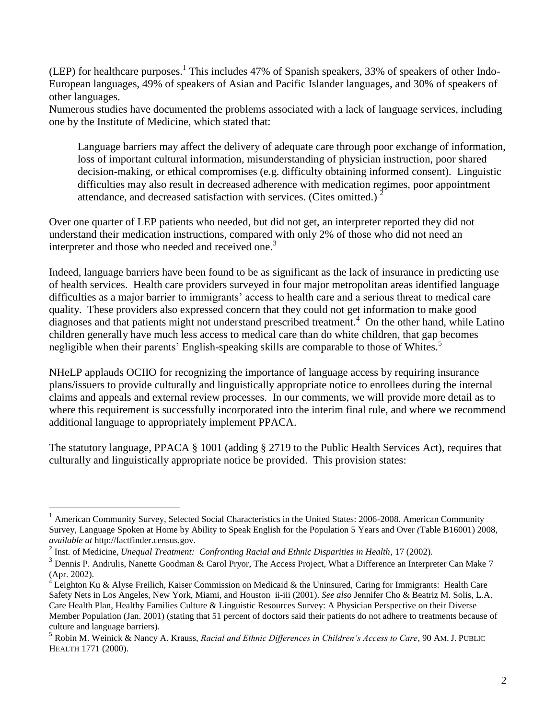(LEP) for healthcare purposes.<sup>1</sup> This includes 47% of Spanish speakers, 33% of speakers of other Indo-European languages, 49% of speakers of Asian and Pacific Islander languages, and 30% of speakers of other languages.

Numerous studies have documented the problems associated with a lack of language services, including one by the Institute of Medicine, which stated that:

Language barriers may affect the delivery of adequate care through poor exchange of information, loss of important cultural information, misunderstanding of physician instruction, poor shared decision-making, or ethical compromises (e.g. difficulty obtaining informed consent). Linguistic difficulties may also result in decreased adherence with medication regimes, poor appointment attendance, and decreased satisfaction with services. (Cites omitted.)  $2^2$ 

Over one quarter of LEP patients who needed, but did not get, an interpreter reported they did not understand their medication instructions, compared with only 2% of those who did not need an interpreter and those who needed and received one.<sup>3</sup>

Indeed, language barriers have been found to be as significant as the lack of insurance in predicting use of health services. Health care providers surveyed in four major metropolitan areas identified language difficulties as a major barrier to immigrants' access to health care and a serious threat to medical care quality. These providers also expressed concern that they could not get information to make good diagnoses and that patients might not understand prescribed treatment.<sup>4</sup> On the other hand, while Latino children generally have much less access to medical care than do white children, that gap becomes negligible when their parents' English-speaking skills are comparable to those of Whites.<sup>5</sup>

NHeLP applauds OCIIO for recognizing the importance of language access by requiring insurance plans/issuers to provide culturally and linguistically appropriate notice to enrollees during the internal claims and appeals and external review processes. In our comments, we will provide more detail as to where this requirement is successfully incorporated into the interim final rule, and where we recommend additional language to appropriately implement PPACA.

The statutory language, PPACA § 1001 (adding § 2719 to the Public Health Services Act), requires that culturally and linguistically appropriate notice be provided. This provision states:

 $\overline{a}$ 

 $1$  American Community Survey, Selected Social Characteristics in the United States: 2006-2008. American Community Survey, Language Spoken at Home by Ability to Speak English for the Population 5 Years and Over *(*Table B16001) 2008, *available at* http://factfinder.census.gov.

<sup>2</sup> Inst. of Medicine, *Unequal Treatment: Confronting Racial and Ethnic Disparities in Health*, 17 (2002).

 $3$  Dennis P. Andrulis, Nanette Goodman & Carol Pryor, The Access Project, What a Difference an Interpreter Can Make 7 (Apr. 2002).

Leighton Ku & Alyse Freilich, Kaiser Commission on Medicaid & the Uninsured, Caring for Immigrants: Health Care Safety Nets in Los Angeles, New York, Miami, and Houston ii-iii (2001). *See also* Jennifer Cho & Beatriz M. Solis, L.A. Care Health Plan, Healthy Families Culture & Linguistic Resources Survey: A Physician Perspective on their Diverse Member Population (Jan. 2001) (stating that 51 percent of doctors said their patients do not adhere to treatments because of culture and language barriers).

<sup>5</sup> Robin M. Weinick & Nancy A. Krauss, *Racial and Ethnic Differences in Children's Access to Care*, 90 AM. J. PUBLIC HEALTH 1771 (2000).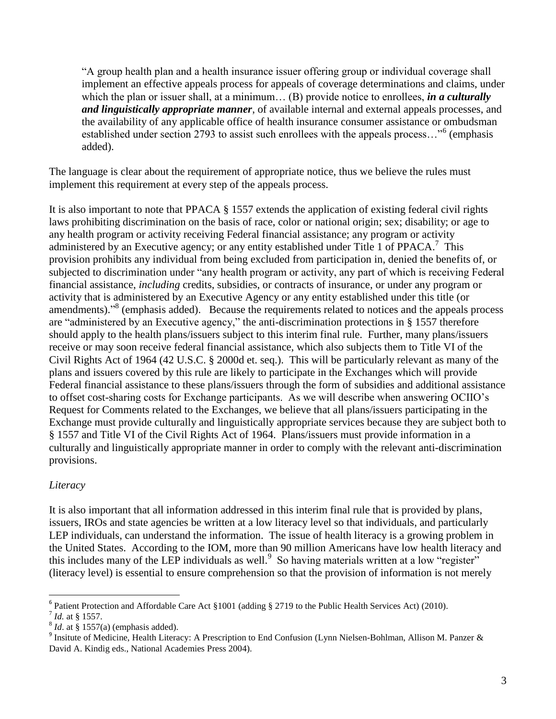"A group health plan and a health insurance issuer offering group or individual coverage shall implement an effective appeals process for appeals of coverage determinations and claims, under which the plan or issuer shall, at a minimum... (B) provide notice to enrollees, *in a culturally and linguistically appropriate manner*, of available internal and external appeals processes, and the availability of any applicable office of health insurance consumer assistance or ombudsman established under section 2793 to assist such enrollees with the appeals process..."<sup>6</sup> (emphasis added).

The language is clear about the requirement of appropriate notice, thus we believe the rules must implement this requirement at every step of the appeals process.

It is also important to note that PPACA § 1557 extends the application of existing federal civil rights laws prohibiting discrimination on the basis of race, color or national origin; sex; disability; or age to any health program or activity receiving Federal financial assistance; any program or activity administered by an Executive agency; or any entity established under Title 1 of PPACA.<sup>7</sup> This provision prohibits any individual from being excluded from participation in, denied the benefits of, or subjected to discrimination under "any health program or activity, any part of which is receiving Federal financial assistance, *including* credits, subsidies, or contracts of insurance, or under any program or activity that is administered by an Executive Agency or any entity established under this title (or amendments)."<sup>8</sup> (emphasis added). Because the requirements related to notices and the appeals process are "administered by an Executive agency," the anti-discrimination protections in § 1557 therefore should apply to the health plans/issuers subject to this interim final rule. Further, many plans/issuers receive or may soon receive federal financial assistance, which also subjects them to Title VI of the Civil Rights Act of 1964 (42 U.S.C. § 2000d et. seq.). This will be particularly relevant as many of the plans and issuers covered by this rule are likely to participate in the Exchanges which will provide Federal financial assistance to these plans/issuers through the form of subsidies and additional assistance to offset cost-sharing costs for Exchange participants. As we will describe when answering OCIIO's Request for Comments related to the Exchanges, we believe that all plans/issuers participating in the Exchange must provide culturally and linguistically appropriate services because they are subject both to § 1557 and Title VI of the Civil Rights Act of 1964. Plans/issuers must provide information in a culturally and linguistically appropriate manner in order to comply with the relevant anti-discrimination provisions.

#### *Literacy*

It is also important that all information addressed in this interim final rule that is provided by plans, issuers, IROs and state agencies be written at a low literacy level so that individuals, and particularly LEP individuals, can understand the information. The issue of health literacy is a growing problem in the United States. According to the IOM, more than 90 million Americans have low health literacy and this includes many of the LEP individuals as well.<sup>9</sup> So having materials written at a low "register" (literacy level) is essential to ensure comprehension so that the provision of information is not merely

<sup>6</sup> Patient Protection and Affordable Care Act §1001 (adding § 2719 to the Public Health Services Act) (2010).

 $\overline{a}$ 

<sup>7</sup> *Id.* at § 1557.

 $<sup>8</sup>$  *Id*. at § 1557(a) (emphasis added).</sup>

<sup>&</sup>lt;sup>9</sup> Insitute of Medicine, Health Literacy: A Prescription to End Confusion (Lynn Nielsen-Bohlman, Allison M. Panzer & David A. Kindig eds., National Academies Press 2004).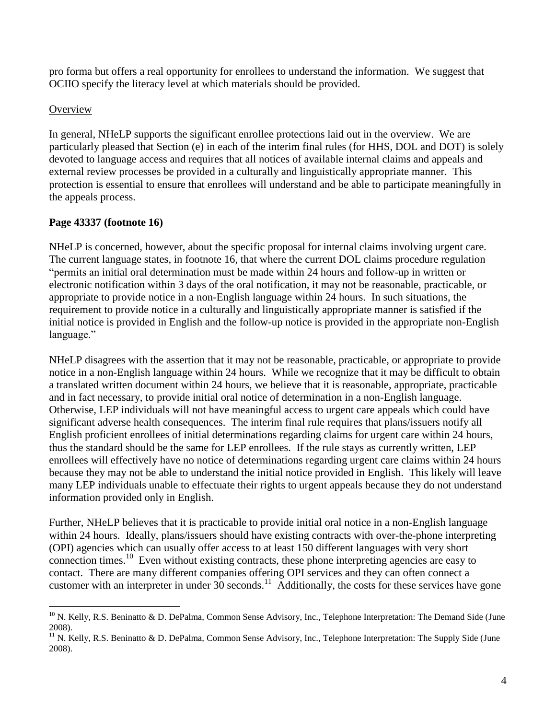pro forma but offers a real opportunity for enrollees to understand the information. We suggest that OCIIO specify the literacy level at which materials should be provided.

### **Overview**

 $\overline{a}$ 

In general, NHeLP supports the significant enrollee protections laid out in the overview. We are particularly pleased that Section (e) in each of the interim final rules (for HHS, DOL and DOT) is solely devoted to language access and requires that all notices of available internal claims and appeals and external review processes be provided in a culturally and linguistically appropriate manner. This protection is essential to ensure that enrollees will understand and be able to participate meaningfully in the appeals process.

# **Page 43337 (footnote 16)**

NHeLP is concerned, however, about the specific proposal for internal claims involving urgent care. The current language states, in footnote 16, that where the current DOL claims procedure regulation "permits an initial oral determination must be made within 24 hours and follow-up in written or electronic notification within 3 days of the oral notification, it may not be reasonable, practicable, or appropriate to provide notice in a non-English language within 24 hours. In such situations, the requirement to provide notice in a culturally and linguistically appropriate manner is satisfied if the initial notice is provided in English and the follow-up notice is provided in the appropriate non-English language."

NHeLP disagrees with the assertion that it may not be reasonable, practicable, or appropriate to provide notice in a non-English language within 24 hours. While we recognize that it may be difficult to obtain a translated written document within 24 hours, we believe that it is reasonable, appropriate, practicable and in fact necessary, to provide initial oral notice of determination in a non-English language. Otherwise, LEP individuals will not have meaningful access to urgent care appeals which could have significant adverse health consequences. The interim final rule requires that plans/issuers notify all English proficient enrollees of initial determinations regarding claims for urgent care within 24 hours, thus the standard should be the same for LEP enrollees. If the rule stays as currently written, LEP enrollees will effectively have no notice of determinations regarding urgent care claims within 24 hours because they may not be able to understand the initial notice provided in English. This likely will leave many LEP individuals unable to effectuate their rights to urgent appeals because they do not understand information provided only in English.

Further, NHeLP believes that it is practicable to provide initial oral notice in a non-English language within 24 hours. Ideally, plans/issuers should have existing contracts with over-the-phone interpreting (OPI) agencies which can usually offer access to at least 150 different languages with very short connection times.<sup>10</sup> Even without existing contracts, these phone interpreting agencies are easy to contact. There are many different companies offering OPI services and they can often connect a customer with an interpreter in under  $30$  seconds.<sup>11</sup> Additionally, the costs for these services have gone

 $10$  N. Kelly, R.S. Beninatto & D. DePalma, Common Sense Advisory, Inc., Telephone Interpretation: The Demand Side (June 2008).

<sup>&</sup>lt;sup>11</sup> N. Kelly, R.S. Beninatto & D. DePalma, Common Sense Advisory, Inc., Telephone Interpretation: The Supply Side (June 2008).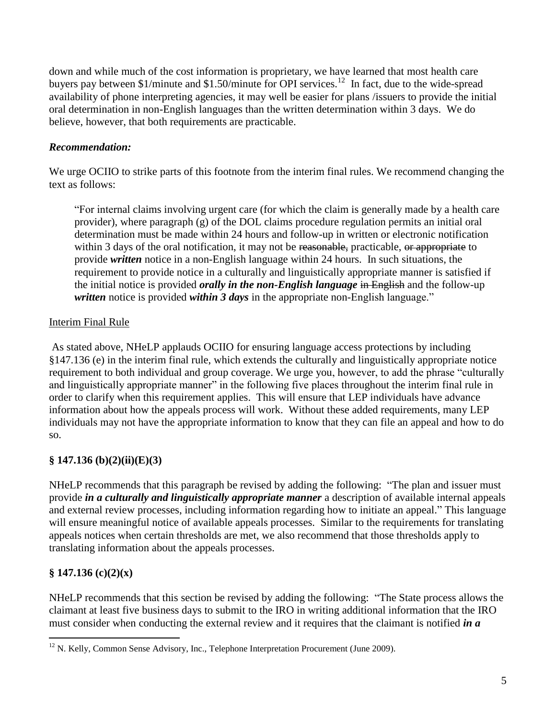down and while much of the cost information is proprietary, we have learned that most health care buyers pay between \$1/minute and \$1.50/minute for OPI services.<sup>12</sup> In fact, due to the wide-spread availability of phone interpreting agencies, it may well be easier for plans /issuers to provide the initial oral determination in non-English languages than the written determination within 3 days. We do believe, however, that both requirements are practicable.

#### *Recommendation:*

We urge OCIIO to strike parts of this footnote from the interim final rules. We recommend changing the text as follows:

"For internal claims involving urgent care (for which the claim is generally made by a health care provider), where paragraph (g) of the DOL claims procedure regulation permits an initial oral determination must be made within 24 hours and follow-up in written or electronic notification within 3 days of the oral notification, it may not be reasonable, practicable, or appropriate to provide *written* notice in a non-English language within 24 hours. In such situations, the requirement to provide notice in a culturally and linguistically appropriate manner is satisfied if the initial notice is provided *orally in the non-English language* in English and the follow-up *written* notice is provided *within 3 days* in the appropriate non-English language."

#### Interim Final Rule

As stated above, NHeLP applauds OCIIO for ensuring language access protections by including §147.136 (e) in the interim final rule, which extends the culturally and linguistically appropriate notice requirement to both individual and group coverage. We urge you, however, to add the phrase "culturally and linguistically appropriate manner" in the following five places throughout the interim final rule in order to clarify when this requirement applies. This will ensure that LEP individuals have advance information about how the appeals process will work. Without these added requirements, many LEP individuals may not have the appropriate information to know that they can file an appeal and how to do so.

### **§ 147.136 (b)(2)(ii)(E)(3)**

NHeLP recommends that this paragraph be revised by adding the following: "The plan and issuer must provide *in a culturally and linguistically appropriate manner* a description of available internal appeals and external review processes, including information regarding how to initiate an appeal." This language will ensure meaningful notice of available appeals processes. Similar to the requirements for translating appeals notices when certain thresholds are met, we also recommend that those thresholds apply to translating information about the appeals processes.

### **§ 147.136 (c)(2)(x)**

 $\overline{a}$ 

NHeLP recommends that this section be revised by adding the following: "The State process allows the claimant at least five business days to submit to the IRO in writing additional information that the IRO must consider when conducting the external review and it requires that the claimant is notified *in a*

 $12$  N. Kelly, Common Sense Advisory, Inc., Telephone Interpretation Procurement (June 2009).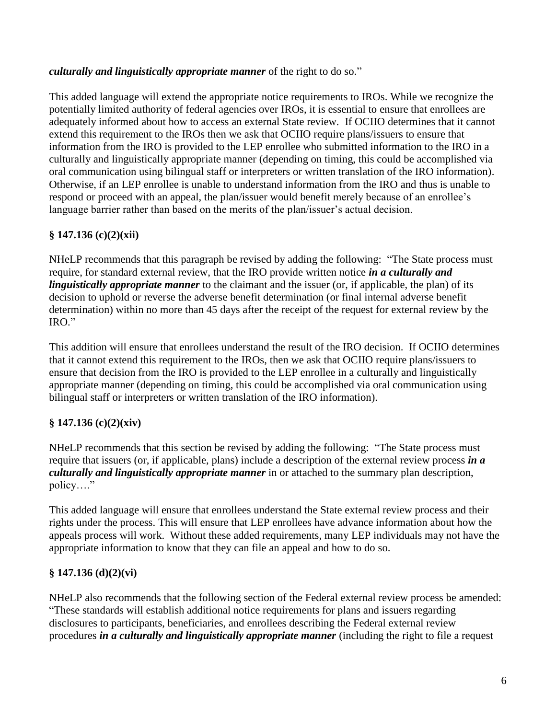#### *culturally and linguistically appropriate manner* of the right to do so."

This added language will extend the appropriate notice requirements to IROs. While we recognize the potentially limited authority of federal agencies over IROs, it is essential to ensure that enrollees are adequately informed about how to access an external State review. If OCIIO determines that it cannot extend this requirement to the IROs then we ask that OCIIO require plans/issuers to ensure that information from the IRO is provided to the LEP enrollee who submitted information to the IRO in a culturally and linguistically appropriate manner (depending on timing, this could be accomplished via oral communication using bilingual staff or interpreters or written translation of the IRO information). Otherwise, if an LEP enrollee is unable to understand information from the IRO and thus is unable to respond or proceed with an appeal, the plan/issuer would benefit merely because of an enrollee's language barrier rather than based on the merits of the plan/issuer's actual decision.

# **§ 147.136 (c)(2)(xii)**

NHeLP recommends that this paragraph be revised by adding the following: "The State process must require, for standard external review, that the IRO provide written notice *in a culturally and linguistically appropriate manner* to the claimant and the issuer (or, if applicable, the plan) of its decision to uphold or reverse the adverse benefit determination (or final internal adverse benefit determination) within no more than 45 days after the receipt of the request for external review by the IRO."

This addition will ensure that enrollees understand the result of the IRO decision. If OCIIO determines that it cannot extend this requirement to the IROs, then we ask that OCIIO require plans/issuers to ensure that decision from the IRO is provided to the LEP enrollee in a culturally and linguistically appropriate manner (depending on timing, this could be accomplished via oral communication using bilingual staff or interpreters or written translation of the IRO information).

### **§ 147.136 (c)(2)(xiv)**

NHeLP recommends that this section be revised by adding the following: "The State process must require that issuers (or, if applicable, plans) include a description of the external review process *in a culturally and linguistically appropriate manner* in or attached to the summary plan description, policy…."

This added language will ensure that enrollees understand the State external review process and their rights under the process. This will ensure that LEP enrollees have advance information about how the appeals process will work. Without these added requirements, many LEP individuals may not have the appropriate information to know that they can file an appeal and how to do so.

### **§ 147.136 (d)(2)(vi)**

NHeLP also recommends that the following section of the Federal external review process be amended: "These standards will establish additional notice requirements for plans and issuers regarding disclosures to participants, beneficiaries, and enrollees describing the Federal external review procedures *in a culturally and linguistically appropriate manner* (including the right to file a request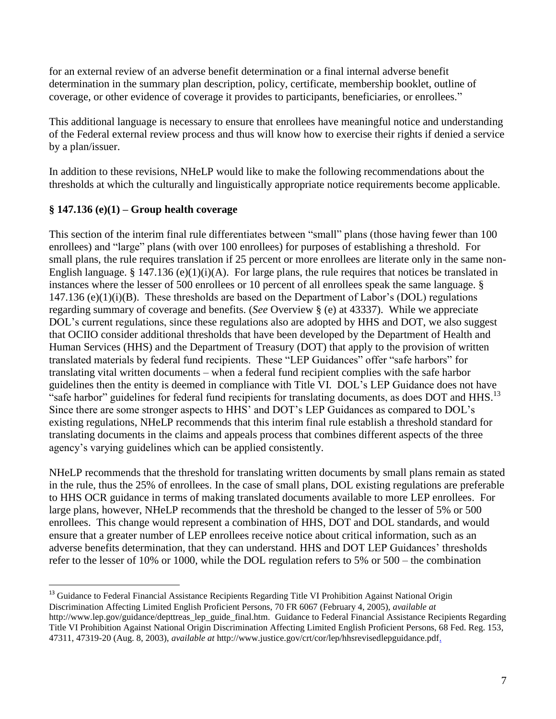for an external review of an adverse benefit determination or a final internal adverse benefit determination in the summary plan description, policy, certificate, membership booklet, outline of coverage, or other evidence of coverage it provides to participants, beneficiaries, or enrollees."

This additional language is necessary to ensure that enrollees have meaningful notice and understanding of the Federal external review process and thus will know how to exercise their rights if denied a service by a plan/issuer.

In addition to these revisions, NHeLP would like to make the following recommendations about the thresholds at which the culturally and linguistically appropriate notice requirements become applicable.

### **§ 147.136 (e)(1) – Group health coverage**

 $\overline{a}$ 

This section of the interim final rule differentiates between "small" plans (those having fewer than 100 enrollees) and "large" plans (with over 100 enrollees) for purposes of establishing a threshold. For small plans, the rule requires translation if 25 percent or more enrollees are literate only in the same non-English language. § 147.136 (e)(1)(i)(A). For large plans, the rule requires that notices be translated in instances where the lesser of 500 enrollees or 10 percent of all enrollees speak the same language. § 147.136 (e) $(1)(i)(B)$ . These thresholds are based on the Department of Labor's (DOL) regulations regarding summary of coverage and benefits. (*See* Overview § (e) at 43337). While we appreciate DOL's current regulations, since these regulations also are adopted by HHS and DOT, we also suggest that OCIIO consider additional thresholds that have been developed by the Department of Health and Human Services (HHS) and the Department of Treasury (DOT) that apply to the provision of written translated materials by federal fund recipients. These "LEP Guidances" offer "safe harbors" for translating vital written documents – when a federal fund recipient complies with the safe harbor guidelines then the entity is deemed in compliance with Title VI. DOL's LEP Guidance does not have "safe harbor" guidelines for federal fund recipients for translating documents, as does DOT and HHS.<sup>13</sup> Since there are some stronger aspects to HHS' and DOT's LEP Guidances as compared to DOL's existing regulations, NHeLP recommends that this interim final rule establish a threshold standard for translating documents in the claims and appeals process that combines different aspects of the three agency's varying guidelines which can be applied consistently.

NHeLP recommends that the threshold for translating written documents by small plans remain as stated in the rule, thus the 25% of enrollees. In the case of small plans, DOL existing regulations are preferable to HHS OCR guidance in terms of making translated documents available to more LEP enrollees. For large plans, however, NHeLP recommends that the threshold be changed to the lesser of 5% or 500 enrollees. This change would represent a combination of HHS, DOT and DOL standards, and would ensure that a greater number of LEP enrollees receive notice about critical information, such as an adverse benefits determination, that they can understand. HHS and DOT LEP Guidances' thresholds refer to the lesser of 10% or 1000, while the DOL regulation refers to 5% or 500 – the combination

<sup>&</sup>lt;sup>13</sup> Guidance to Federal Financial Assistance Recipients Regarding Title VI Prohibition Against National Origin Discrimination Affecting Limited English Proficient Persons, 70 FR 6067 (February 4, 2005), *available at* http://www.lep.gov/guidance/depttreas\_lep\_guide\_final.htm*.* Guidance to Federal Financial Assistance Recipients Regarding Title VI Prohibition Against National Origin Discrimination Affecting Limited English Proficient Persons, 68 Fed. Reg. 153, 47311, 47319-20 (Aug. 8, 2003), *available at* http://www.justice.gov/crt/cor/lep/hhsrevisedlepguidance.pdf.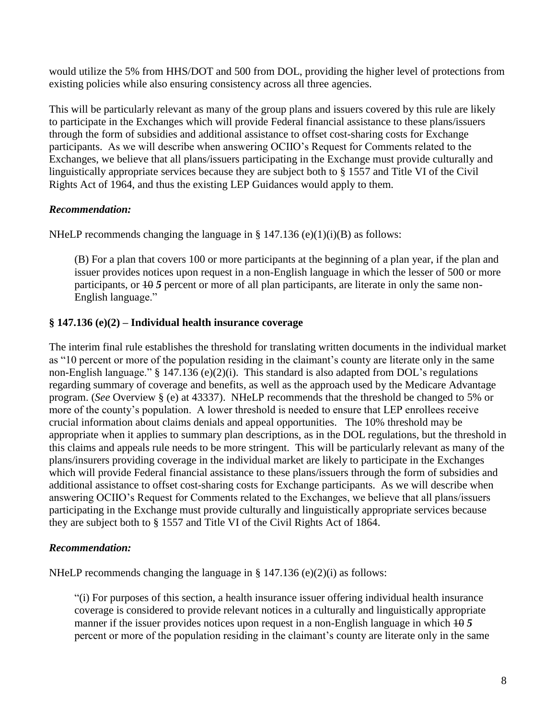would utilize the 5% from HHS/DOT and 500 from DOL, providing the higher level of protections from existing policies while also ensuring consistency across all three agencies.

This will be particularly relevant as many of the group plans and issuers covered by this rule are likely to participate in the Exchanges which will provide Federal financial assistance to these plans/issuers through the form of subsidies and additional assistance to offset cost-sharing costs for Exchange participants. As we will describe when answering OCIIO's Request for Comments related to the Exchanges, we believe that all plans/issuers participating in the Exchange must provide culturally and linguistically appropriate services because they are subject both to § 1557 and Title VI of the Civil Rights Act of 1964, and thus the existing LEP Guidances would apply to them.

# *Recommendation:*

NHeLP recommends changing the language in § 147.136 (e)(1)(i)(B) as follows:

(B) For a plan that covers 100 or more participants at the beginning of a plan year, if the plan and issuer provides notices upon request in a non-English language in which the lesser of 500 or more participants, or  $\overline{10}$  *5* percent or more of all plan participants, are literate in only the same non-English language."

# **§ 147.136 (e)(2) – Individual health insurance coverage**

The interim final rule establishes the threshold for translating written documents in the individual market as "10 percent or more of the population residing in the claimant's county are literate only in the same non-English language." § 147.136 (e)(2)(i).This standard is also adapted from DOL's regulations regarding summary of coverage and benefits, as well as the approach used by the Medicare Advantage program. (*See* Overview § (e) at 43337). NHeLP recommends that the threshold be changed to 5% or more of the county's population. A lower threshold is needed to ensure that LEP enrollees receive crucial information about claims denials and appeal opportunities. The 10% threshold may be appropriate when it applies to summary plan descriptions, as in the DOL regulations, but the threshold in this claims and appeals rule needs to be more stringent. This will be particularly relevant as many of the plans/insurers providing coverage in the individual market are likely to participate in the Exchanges which will provide Federal financial assistance to these plans/issuers through the form of subsidies and additional assistance to offset cost-sharing costs for Exchange participants. As we will describe when answering OCIIO's Request for Comments related to the Exchanges, we believe that all plans/issuers participating in the Exchange must provide culturally and linguistically appropriate services because they are subject both to § 1557 and Title VI of the Civil Rights Act of 1864.

### *Recommendation:*

NHeLP recommends changing the language in § 147.136 (e)(2)(i) as follows:

"(i) For purposes of this section, a health insurance issuer offering individual health insurance coverage is considered to provide relevant notices in a culturally and linguistically appropriate manner if the issuer provides notices upon request in a non-English language in which  $\frac{10}{5}$ percent or more of the population residing in the claimant's county are literate only in the same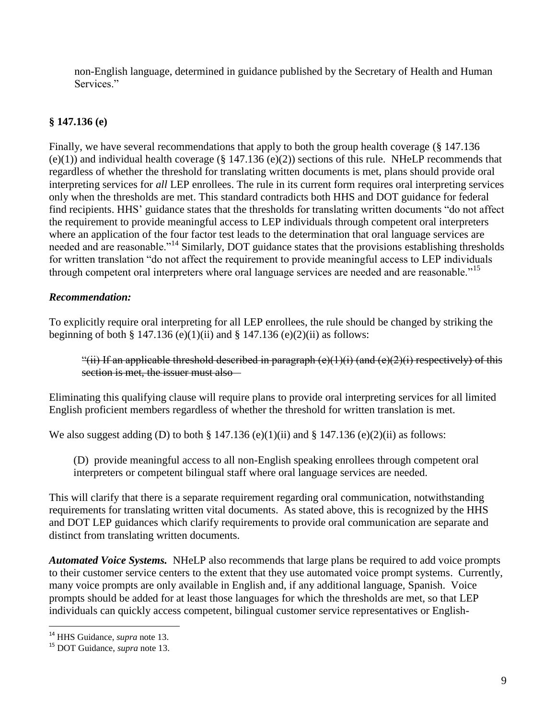non-English language, determined in guidance published by the Secretary of Health and Human Services<sup>"</sup>

#### **§ 147.136 (e)**

Finally, we have several recommendations that apply to both the group health coverage (§ 147.136  $(e)(1)$ ) and individual health coverage (§ 147.136  $(e)(2)$ ) sections of this rule. NHeLP recommends that regardless of whether the threshold for translating written documents is met, plans should provide oral interpreting services for *all* LEP enrollees. The rule in its current form requires oral interpreting services only when the thresholds are met. This standard contradicts both HHS and DOT guidance for federal find recipients. HHS' guidance states that the thresholds for translating written documents "do not affect the requirement to provide meaningful access to LEP individuals through competent oral interpreters where an application of the four factor test leads to the determination that oral language services are needed and are reasonable."<sup>14</sup> Similarly, DOT guidance states that the provisions establishing thresholds for written translation "do not affect the requirement to provide meaningful access to LEP individuals through competent oral interpreters where oral language services are needed and are reasonable.<sup>"15</sup>

#### *Recommendation:*

To explicitly require oral interpreting for all LEP enrollees, the rule should be changed by striking the beginning of both § 147.136 (e)(1)(ii) and § 147.136 (e)(2)(ii) as follows:

"(ii) If an applicable threshold described in paragraph  $(e)(1)(i)$  (and  $(e)(2)(i)$  respectively) of this section is met, the issuer must also –

Eliminating this qualifying clause will require plans to provide oral interpreting services for all limited English proficient members regardless of whether the threshold for written translation is met.

We also suggest adding (D) to both  $\S$  147.136 (e)(1)(ii) and  $\S$  147.136 (e)(2)(ii) as follows:

(D) provide meaningful access to all non-English speaking enrollees through competent oral interpreters or competent bilingual staff where oral language services are needed.

This will clarify that there is a separate requirement regarding oral communication, notwithstanding requirements for translating written vital documents. As stated above, this is recognized by the HHS and DOT LEP guidances which clarify requirements to provide oral communication are separate and distinct from translating written documents.

*Automated Voice Systems.* NHeLP also recommends that large plans be required to add voice prompts to their customer service centers to the extent that they use automated voice prompt systems. Currently, many voice prompts are only available in English and, if any additional language, Spanish. Voice prompts should be added for at least those languages for which the thresholds are met, so that LEP individuals can quickly access competent, bilingual customer service representatives or English-

 $\overline{a}$ 

<sup>14</sup> HHS Guidance, *supra* note 13.

<sup>15</sup> DOT Guidance, *supra* note 13.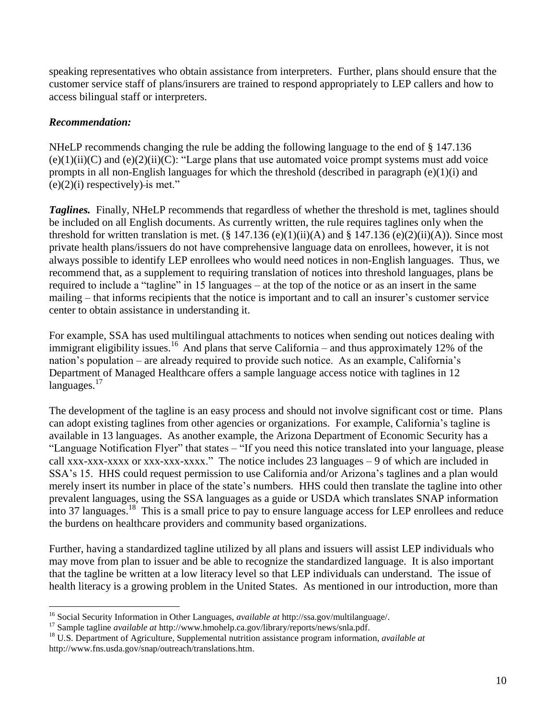speaking representatives who obtain assistance from interpreters. Further, plans should ensure that the customer service staff of plans/insurers are trained to respond appropriately to LEP callers and how to access bilingual staff or interpreters.

#### *Recommendation:*

 $\overline{a}$ 

NHeLP recommends changing the rule be adding the following language to the end of § 147.136  $(e)(1)(ii)(C)$  and  $(e)(2)(ii)(C)$ : "Large plans that use automated voice prompt systems must add voice prompts in all non-English languages for which the threshold (described in paragraph (e)(1)(i) and  $(e)(2)(i)$  respectively)-is met."

**Taglines.** Finally, NHeLP recommends that regardless of whether the threshold is met, taglines should be included on all English documents. As currently written, the rule requires taglines only when the threshold for written translation is met.  $(\S 147.136 (e)(1)(ii)(A)$  and  $\S 147.136 (e)(2)(ii)(A))$ . Since most private health plans/issuers do not have comprehensive language data on enrollees, however, it is not always possible to identify LEP enrollees who would need notices in non-English languages. Thus, we recommend that, as a supplement to requiring translation of notices into threshold languages, plans be required to include a "tagline" in 15 languages – at the top of the notice or as an insert in the same mailing – that informs recipients that the notice is important and to call an insurer's customer service center to obtain assistance in understanding it.

For example, SSA has used multilingual attachments to notices when sending out notices dealing with immigrant eligibility issues.<sup>16</sup> And plans that serve California – and thus approximately 12% of the nation's population – are already required to provide such notice. As an example, California's Department of Managed Healthcare offers a sample language access notice with taglines in 12  $languages.<sup>17</sup>$ 

The development of the tagline is an easy process and should not involve significant cost or time. Plans can adopt existing taglines from other agencies or organizations. For example, California's tagline is available in 13 languages. As another example, the Arizona Department of Economic Security has a "Language Notification Flyer" that states – "If you need this notice translated into your language, please call xxx-xxx-xxxx or xxx-xxx-xxxx." The notice includes 23 languages – 9 of which are included in SSA's 15. HHS could request permission to use California and/or Arizona's taglines and a plan would merely insert its number in place of the state's numbers. HHS could then translate the tagline into other prevalent languages, using the SSA languages as a guide or USDA which translates SNAP information into 37 languages.<sup>18</sup> This is a small price to pay to ensure language access for LEP enrollees and reduce the burdens on healthcare providers and community based organizations.

Further, having a standardized tagline utilized by all plans and issuers will assist LEP individuals who may move from plan to issuer and be able to recognize the standardized language. It is also important that the tagline be written at a low literacy level so that LEP individuals can understand. The issue of health literacy is a growing problem in the United States. As mentioned in our introduction, more than

<sup>16</sup> Social Security Information in Other Languages, *available at* http://ssa.gov/multilanguage/.

<sup>17</sup> Sample tagline *available at* http://www.hmohelp.ca.gov/library/reports/news/snla.pdf.

<sup>18</sup> U.S. Department of Agriculture, Supplemental nutrition assistance program information, *available at* http://www.fns.usda.gov/snap/outreach/translations.htm.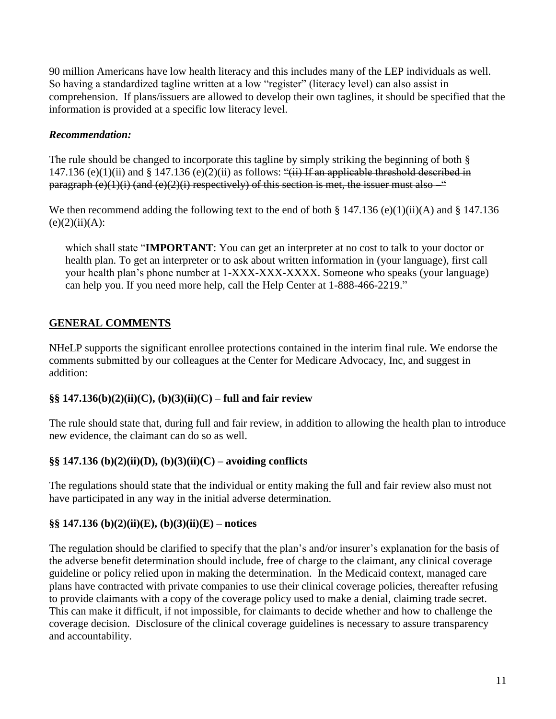90 million Americans have low health literacy and this includes many of the LEP individuals as well. So having a standardized tagline written at a low "register" (literacy level) can also assist in comprehension. If plans/issuers are allowed to develop their own taglines, it should be specified that the information is provided at a specific low literacy level.

### *Recommendation:*

The rule should be changed to incorporate this tagline by simply striking the beginning of both § 147.136 (e)(1)(ii) and  $\S 147.136$  (e)(2)(ii) as follows: "(ii) If an applicable threshold described in paragraph  $(e)(1)(i)$  (and  $(e)(2)(i)$  respectively) of this section is met, the issuer must also  $-$ 

We then recommend adding the following text to the end of both § 147.136 (e)(1)(ii)(A) and § 147.136  $(e)(2)(ii)(A)$ :

which shall state "**IMPORTANT**: You can get an interpreter at no cost to talk to your doctor or health plan. To get an interpreter or to ask about written information in (your language), first call your health plan's phone number at 1-XXX-XXX-XXXX. Someone who speaks (your language) can help you. If you need more help, call the Help Center at 1-888-466-2219."

# **GENERAL COMMENTS**

NHeLP supports the significant enrollee protections contained in the interim final rule. We endorse the comments submitted by our colleagues at the Center for Medicare Advocacy, Inc, and suggest in addition:

### **§§ 147.136(b)(2)(ii)(C), (b)(3)(ii)(C) – full and fair review**

The rule should state that, during full and fair review, in addition to allowing the health plan to introduce new evidence, the claimant can do so as well.

# **§§ 147.136 (b)(2)(ii)(D), (b)(3)(ii)(C) – avoiding conflicts**

The regulations should state that the individual or entity making the full and fair review also must not have participated in any way in the initial adverse determination.

# **§§ 147.136 (b)(2)(ii)(E), (b)(3)(ii)(E) – notices**

The regulation should be clarified to specify that the plan's and/or insurer's explanation for the basis of the adverse benefit determination should include, free of charge to the claimant, any clinical coverage guideline or policy relied upon in making the determination. In the Medicaid context, managed care plans have contracted with private companies to use their clinical coverage policies, thereafter refusing to provide claimants with a copy of the coverage policy used to make a denial, claiming trade secret. This can make it difficult, if not impossible, for claimants to decide whether and how to challenge the coverage decision. Disclosure of the clinical coverage guidelines is necessary to assure transparency and accountability.